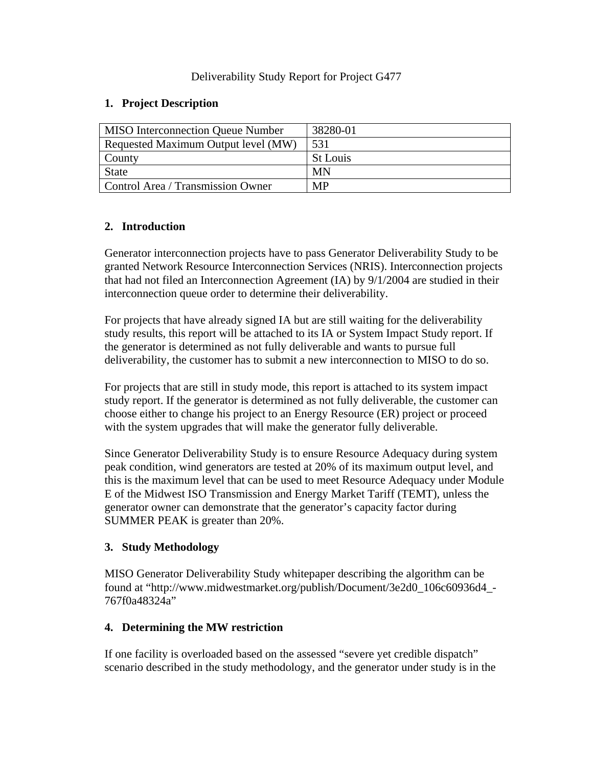### Deliverability Study Report for Project G477

### **1. Project Description**

| <b>MISO</b> Interconnection Queue Number | 38280-01  |  |  |  |  |  |
|------------------------------------------|-----------|--|--|--|--|--|
| Requested Maximum Output level (MW)      | 531       |  |  |  |  |  |
| County                                   | St Louis  |  |  |  |  |  |
| <b>State</b>                             | MN        |  |  |  |  |  |
| Control Area / Transmission Owner        | <b>MP</b> |  |  |  |  |  |

# **2. Introduction**

Generator interconnection projects have to pass Generator Deliverability Study to be granted Network Resource Interconnection Services (NRIS). Interconnection projects that had not filed an Interconnection Agreement (IA) by 9/1/2004 are studied in their interconnection queue order to determine their deliverability.

For projects that have already signed IA but are still waiting for the deliverability study results, this report will be attached to its IA or System Impact Study report. If the generator is determined as not fully deliverable and wants to pursue full deliverability, the customer has to submit a new interconnection to MISO to do so.

For projects that are still in study mode, this report is attached to its system impact study report. If the generator is determined as not fully deliverable, the customer can choose either to change his project to an Energy Resource (ER) project or proceed with the system upgrades that will make the generator fully deliverable.

Since Generator Deliverability Study is to ensure Resource Adequacy during system peak condition, wind generators are tested at 20% of its maximum output level, and this is the maximum level that can be used to meet Resource Adequacy under Module E of the Midwest ISO Transmission and Energy Market Tariff (TEMT), unless the generator owner can demonstrate that the generator's capacity factor during SUMMER PEAK is greater than 20%.

## **3. Study Methodology**

MISO Generator Deliverability Study whitepaper describing the algorithm can be found at "http://www.midwestmarket.org/publish/Document/3e2d0\_106c60936d4\_- 767f0a48324a"

#### **4. Determining the MW restriction**

If one facility is overloaded based on the assessed "severe yet credible dispatch" scenario described in the study methodology, and the generator under study is in the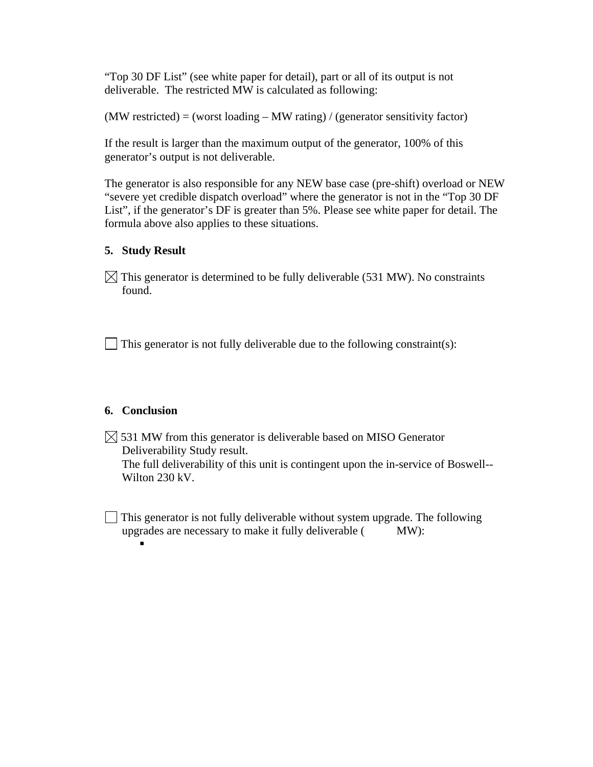"Top 30 DF List" (see white paper for detail), part or all of its output is not deliverable. The restricted MW is calculated as following:

 $(MW$  restricted) = (worst loading  $-MW$  rating) / (generator sensitivity factor)

If the result is larger than the maximum output of the generator, 100% of this generator's output is not deliverable.

The generator is also responsible for any NEW base case (pre-shift) overload or NEW "severe yet credible dispatch overload" where the generator is not in the "Top 30 DF List", if the generator's DF is greater than 5%. Please see white paper for detail. The formula above also applies to these situations.

## **5. Study Result**

 $\boxtimes$  This generator is determined to be fully deliverable (531 MW). No constraints found.

 $\Box$  This generator is not fully deliverable due to the following constraint(s):

## **6. Conclusion**

 $\boxtimes$  531 MW from this generator is deliverable based on MISO Generator Deliverability Study result. The full deliverability of this unit is contingent upon the in-service of Boswell-- Wilton 230 kV.

 This generator is not fully deliverable without system upgrade. The following upgrades are necessary to make it fully deliverable ( MW):

 $\blacksquare$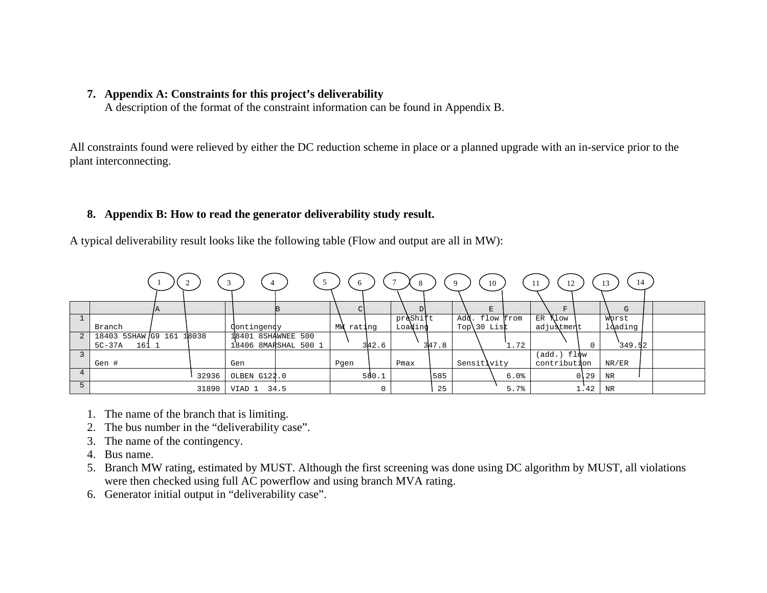#### **7. Appendix A: Constraints for this project's deliverability**

A description of the format of the constraint information can be found in Appendix B.

All constraints found were relieved by either the DC reduction scheme in place or a planned upgrade with an in-service prior to the plant interconnecting.

#### **8. Appendix B: How to read the generator deliverability study result.**

A typical deliverability result looks like the following table (Flow and output are all in MW):

|   |                    |     |       | 4                  |                      |      | -6        | 8        |       | $\mathbf Q$ | 10        | 12<br>-11       |          | 14<br>13 |  |
|---|--------------------|-----|-------|--------------------|----------------------|------|-----------|----------|-------|-------------|-----------|-----------------|----------|----------|--|
|   |                    | IA. |       |                    |                      |      |           |          |       |             |           | F               |          | G        |  |
|   |                    |     |       |                    |                      |      |           | preshift |       | Add.        | flow from | ER Alow         |          | Worst    |  |
|   | Branch             |     |       | dontingendy        |                      |      | MW rating | Loading  |       | Top\30 List |           | adjustment      |          | loading  |  |
| 2 | 18403 5SHAW G9 161 |     | 18038 | 18401 8SHAWNEE 500 |                      |      |           |          |       |             |           |                 |          |          |  |
|   | $5C-37A$<br>161 1  |     |       |                    | 18406 8MARSHAL 500 1 |      | 342.6     |          | 347.8 |             | 1.72      |                 | $\Omega$ | 349.52   |  |
|   |                    |     |       |                    |                      |      |           |          |       |             |           | $(add.)$ $flow$ |          |          |  |
|   | Gen #              |     |       | Gen                |                      | Pgen |           | Pmax     |       | Sensitivity |           | contribution    |          | NR/ER    |  |
|   |                    |     | 32936 | OLBEN G122.0       |                      |      | 580.1     |          | 585   |             | 6.0%      |                 | 0 29     | NR       |  |
|   |                    |     | 31890 | VIAD 1             | 34.5                 |      |           |          | 25    |             | 5.7%      |                 | 1.42     | NR       |  |

- 1. The name of the branch that is limiting.
- 2. The bus number in the "deliverability case".
- 3. The name of the contingency.
- 4. Bus name.
- 5. Branch MW rating, estimated by MUST. Although the first screening was done using DC algorithm by MUST, all violations were then checked using full AC powerflow and using branch MVA rating.
- 6. Generator initial output in "deliverability case".